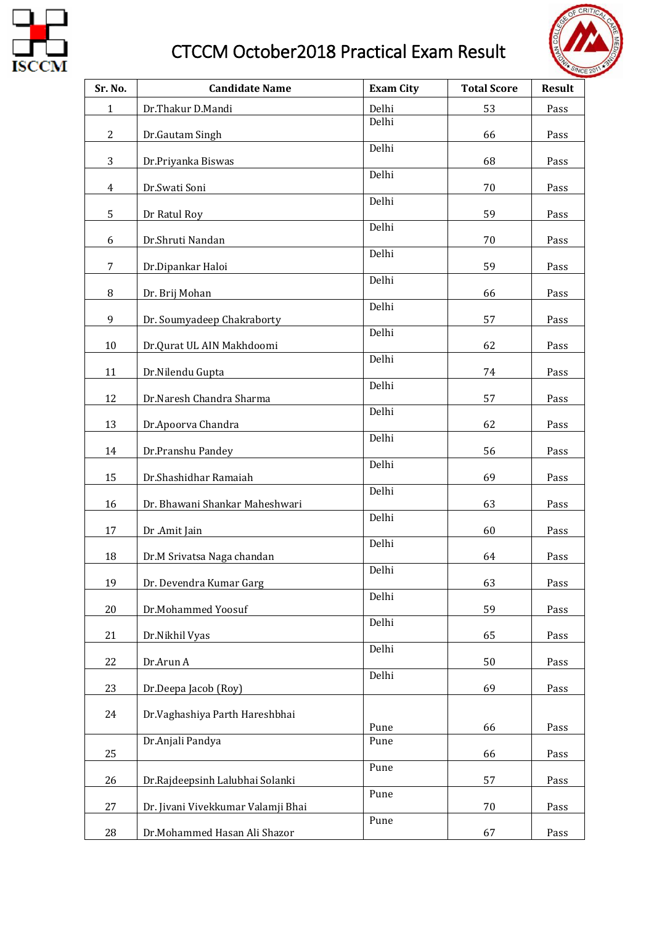

## CTCCM October2018 Practical Exam Result



| Sr. No.        | <b>Candidate Name</b>              | <b>Exam City</b> | <b>Total Score</b> | <b>Result</b> |
|----------------|------------------------------------|------------------|--------------------|---------------|
| $\mathbf{1}$   | Dr.Thakur D.Mandi                  | Delhi            | 53                 | Pass          |
| 2              | Dr.Gautam Singh                    | Delhi            | 66                 | Pass          |
|                |                                    | Delhi            |                    |               |
| 3              | Dr.Priyanka Biswas                 | Delhi            | 68                 | Pass          |
| $\overline{4}$ | Dr.Swati Soni                      | Delhi            | 70                 | Pass          |
| 5              | Dr Ratul Roy                       |                  | 59                 | Pass          |
| 6              | Dr.Shruti Nandan                   | Delhi            | 70                 | Pass          |
|                |                                    | Delhi            |                    |               |
| 7              | Dr.Dipankar Haloi                  | Delhi            | 59                 | Pass          |
| 8              | Dr. Brij Mohan                     | Delhi            | 66                 | Pass          |
| 9              | Dr. Soumyadeep Chakraborty         |                  | 57                 | Pass          |
| 10             | Dr.Qurat UL AIN Makhdoomi          | Delhi            | 62                 | Pass          |
|                |                                    | Delhi            |                    |               |
| 11             | Dr.Nilendu Gupta                   | Delhi            | 74                 | Pass          |
| 12             | Dr.Naresh Chandra Sharma           | Delhi            | 57                 | Pass          |
| 13             | Dr.Apoorva Chandra                 |                  | 62                 | Pass          |
| 14             | Dr.Pranshu Pandey                  | Delhi            | 56                 | Pass          |
|                |                                    | Delhi            |                    |               |
| 15             | Dr.Shashidhar Ramaiah              | Delhi            | 69                 | Pass          |
| 16             | Dr. Bhawani Shankar Maheshwari     | Delhi            | 63                 | Pass          |
| 17             | Dr .Amit Jain                      |                  | 60                 | Pass          |
| 18             | Dr.M Srivatsa Naga chandan         | Delhi            | 64                 | Pass          |
|                |                                    | Delhi            |                    |               |
| 19             | Dr. Devendra Kumar Garg            | Delhi            | 63                 | Pass          |
| 20             | Dr.Mohammed Yoosuf                 | Delhi            | 59                 | Pass          |
| 21             | Dr.Nikhil Vyas                     |                  | 65                 | Pass          |
| 22             | Dr.Arun A                          | Delhi            | 50                 | Pass          |
|                |                                    | Delhi            |                    |               |
| 23             | Dr.Deepa Jacob (Roy)               |                  | 69                 | Pass          |
| 24             | Dr.Vaghashiya Parth Hareshbhai     | Pune             | 66                 | Pass          |
|                | Dr.Anjali Pandya                   | Pune             |                    |               |
| 25             |                                    | Pune             | 66                 | Pass          |
| 26             | Dr.Rajdeepsinh Lalubhai Solanki    |                  | 57                 | Pass          |
| 27             | Dr. Jivani Vivekkumar Valamji Bhai | Pune             | 70                 | Pass          |
| 28             | Dr.Mohammed Hasan Ali Shazor       | Pune             | 67                 | Pass          |
|                |                                    |                  |                    |               |